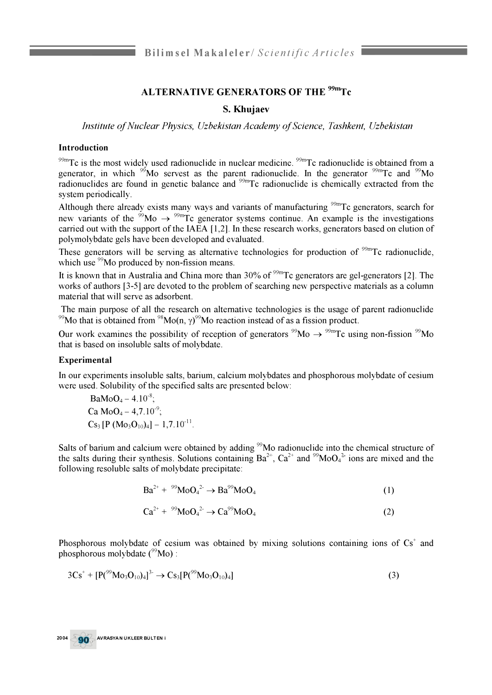# **ALTERNATIVE GENERATORS OF THE 99mTc**

## **S. Khujaev**

*Institute of Nuclear Physics, Uzbekistan Academy of Science, Tashkent, Uzbekistan* 

#### **Introduction**

 $99m$ Tc is the most widely used radionuclide in nuclear medicine.  $99m$ Tc radionuclide is obtained from a generator, in which  $\frac{99}{20}$  servest as the parent radionuclide. In the generator  $\frac{99}{20}$ Tc and  $\frac{99}{20}$ Mo radionuclides are found in genetic balance and <sup>99m</sup>Tc radionuclide is chemically extracted from the system periodically.

Although there already exists many ways and variants of manufacturing <sup>99m</sup>Tc generators, search for new variants of the <sup>99</sup>Mo  $\rightarrow$  <sup>99m</sup>Tc generator systems continue. An example is the investigations carried out with the support of the IAEA [1,2]. In these research works, generators based on elution of polymolybdate gels have been developed and evaluated.

These generators will be serving as alternative technologies for production of  $\frac{99 \text{m}}{2}$ Tc radionuclide, which use  $99$ Mo produced by non-fission means.

It is known that in Australia and China more than  $30\%$  of <sup>99m</sup>Tc generators are gel-generators [2]. The works of authors [3-5] are devoted to the problem of searching new perspective materials as a column material that will serve as adsorbent.

The main purpose of all the research on alternative technologies is the usage of parent radionuclide <sup>99</sup>Mo that is obtained from <sup>98</sup>Mo(n,  $\gamma$ )<sup>99</sup>Mo reaction instead of as a fission product.

Our work examines the possibility of reception of generators  $\rm{^{99}Mo} \rightarrow \rm{^{99m}Te}$  using non-fission  $\rm{^{99}Mo}$ that is based on insoluble salts of molybdate.

#### **Experimental**

In our experiments insoluble salts, barium, calcium molybdates and phosphorous molybdate of cesium were used. Solubility of the specified salts are presented below:

$$
BaMoO4 - 4.10-6;
$$
  
\nCa MoO<sub>4</sub> - 4,7.10<sup>-9</sup>;  
\nCs<sub>3</sub> [P (Mo<sub>3</sub>O<sub>10</sub>)<sub>4</sub>] - 1,7.10<sup>-11</sup>.

Salts of barium and calcium were obtained by adding <sup>99</sup>Mo radionuclide into the chemical structure of the salts during their synthesis. Solutions containing  $Ba^{2+}$ ,  $Ca^{2+}$  and  $^{99}MO_4^{2+}$  ions are mixed and the following resoluble salts of molybdate precipitate:

$$
Ba^{2+} + {}^{99}MoO_4{}^2 \rightarrow Ba^{99}MoO_4
$$
 (1)

$$
Ca^{2+} + {}^{99}MoO_4{}^2 \to Ca^{99}MoO_4
$$
 (2)

Phosphorous molybdate of cesium was obtained by mixing solutions containing ions of  $Cs<sup>+</sup>$  and phosphorous molybdate  $(^{99}Mo$  :

$$
3Cs^{+} + [P(^{99}Mo_{3}O_{10})_{4}]^{3} \rightarrow Cs_{3}[P(^{99}Mo_{3}O_{10})_{4}]
$$
\n(3)